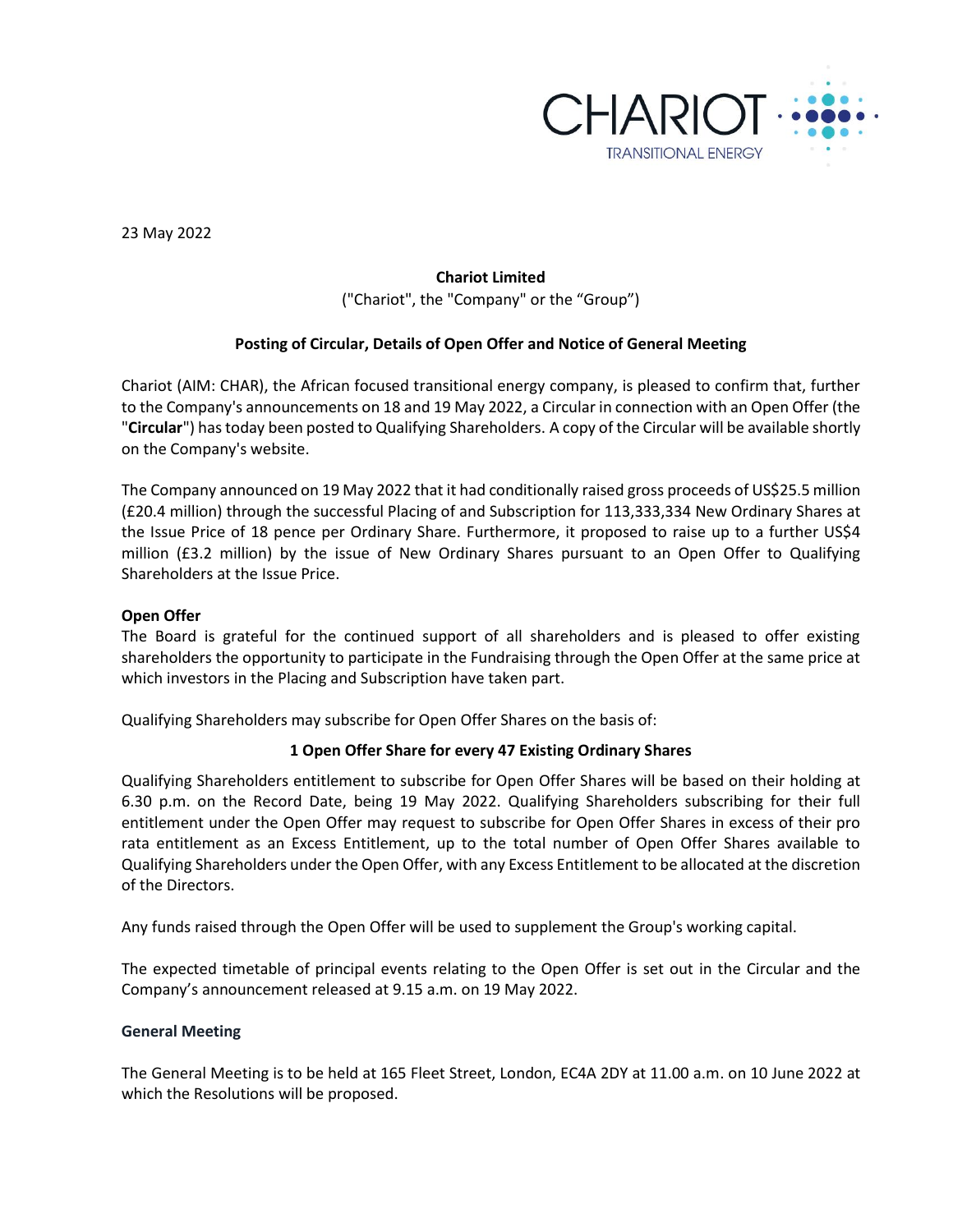

23 May 2022

# **Chariot Limited**

("Chariot", the "Company" or the "Group")

## **Posting of Circular, Details of Open Offer and Notice of General Meeting**

Chariot (AIM: CHAR), the African focused transitional energy company, is pleased to confirm that, further to the Company's announcements on 18 and 19 May 2022, a Circular in connection with an Open Offer (the "**Circular**") has today been posted to Qualifying Shareholders. A copy of the Circular will be available shortly on the Company's website.

The Company announced on 19 May 2022 that it had conditionally raised gross proceeds of US\$25.5 million (£20.4 million) through the successful Placing of and Subscription for 113,333,334 New Ordinary Shares at the Issue Price of 18 pence per Ordinary Share. Furthermore, it proposed to raise up to a further US\$4 million (£3.2 million) by the issue of New Ordinary Shares pursuant to an Open Offer to Qualifying Shareholders at the Issue Price.

### **Open Offer**

The Board is grateful for the continued support of all shareholders and is pleased to offer existing shareholders the opportunity to participate in the Fundraising through the Open Offer at the same price at which investors in the Placing and Subscription have taken part.

Qualifying Shareholders may subscribe for Open Offer Shares on the basis of:

## **1 Open Offer Share for every 47 Existing Ordinary Shares**

Qualifying Shareholders entitlement to subscribe for Open Offer Shares will be based on their holding at 6.30 p.m. on the Record Date, being 19 May 2022. Qualifying Shareholders subscribing for their full entitlement under the Open Offer may request to subscribe for Open Offer Shares in excess of their pro rata entitlement as an Excess Entitlement, up to the total number of Open Offer Shares available to Qualifying Shareholders under the Open Offer, with any Excess Entitlement to be allocated at the discretion of the Directors.

Any funds raised through the Open Offer will be used to supplement the Group's working capital.

The expected timetable of principal events relating to the Open Offer is set out in the Circular and the Company's announcement released at 9.15 a.m. on 19 May 2022.

### **General Meeting**

The General Meeting is to be held at 165 Fleet Street, London, EC4A 2DY at 11.00 a.m. on 10 June 2022 at which the Resolutions will be proposed.